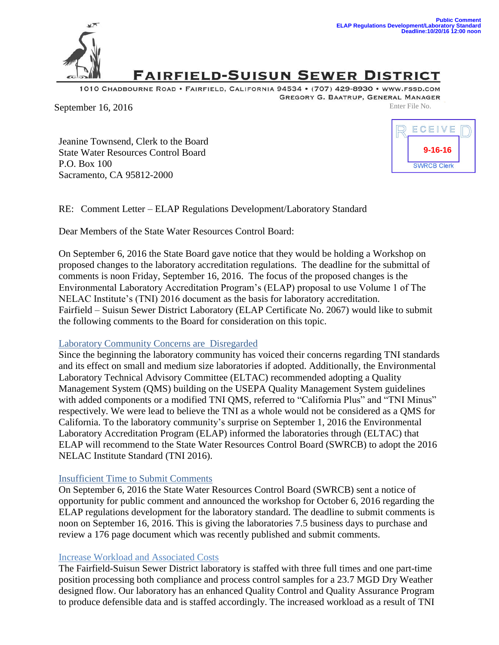

# **FAIRFIELD-SUISUN SEWER DISTRICT**

1010 CHADBOURNE ROAD . FAIRFIELD, CALIFORNIA 94534 . (707) 429-8930 . WWW.FSSD.COM GREGORY G. BAATRUP, GENERAL MANAGER

September 16, 2016 Enter File No.

Jeanine Townsend, Clerk to the Board State Water Resources Control Board P.O. Box 100 Sacramento, CA 95812-2000



RE: Comment Letter – ELAP Regulations Development/Laboratory Standard

Dear Members of the State Water Resources Control Board:

On September 6, 2016 the State Board gave notice that they would be holding a Workshop on proposed changes to the laboratory accreditation regulations. The deadline for the submittal of comments is noon Friday, September 16, 2016. The focus of the proposed changes is the Environmental Laboratory Accreditation Program's (ELAP) proposal to use Volume 1 of The NELAC Institute's (TNI) 2016 document as the basis for laboratory accreditation. Fairfield – Suisun Sewer District Laboratory (ELAP Certificate No. 2067) would like to submit the following comments to the Board for consideration on this topic.

### Laboratory Community Concerns are Disregarded

Since the beginning the laboratory community has voiced their concerns regarding TNI standards and its effect on small and medium size laboratories if adopted. Additionally, the Environmental Laboratory Technical Advisory Committee (ELTAC) recommended adopting a Quality Management System (QMS) building on the USEPA Quality Management System guidelines with added components or a modified TNI QMS, referred to "California Plus" and "TNI Minus" respectively. We were lead to believe the TNI as a whole would not be considered as a QMS for California. To the laboratory community's surprise on September 1, 2016 the Environmental Laboratory Accreditation Program (ELAP) informed the laboratories through (ELTAC) that ELAP will recommend to the State Water Resources Control Board (SWRCB) to adopt the 2016 NELAC Institute Standard (TNI 2016).

### Insufficient Time to Submit Comments

On September 6, 2016 the State Water Resources Control Board (SWRCB) sent a notice of opportunity for public comment and announced the workshop for October 6, 2016 regarding the ELAP regulations development for the laboratory standard. The deadline to submit comments is noon on September 16, 2016. This is giving the laboratories 7.5 business days to purchase and review a 176 page document which was recently published and submit comments.

### Increase Workload and Associated Costs

The Fairfield-Suisun Sewer District laboratory is staffed with three full times and one part-time position processing both compliance and process control samples for a 23.7 MGD Dry Weather designed flow. Our laboratory has an enhanced Quality Control and Quality Assurance Program to produce defensible data and is staffed accordingly. The increased workload as a result of TNI